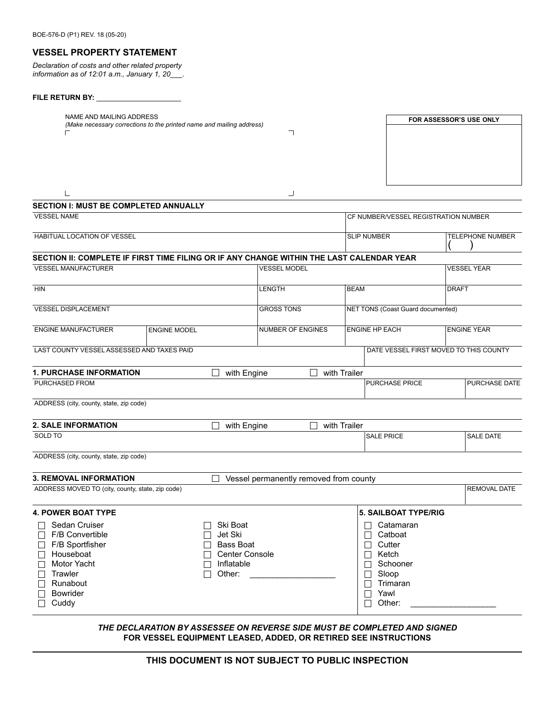### **VESSEL PROPERTY STATEMENT**

*Declaration of costs and other related property information as of 12:01 a.m., January 1, 20\_\_\_.*

# **FILE RETURN BY:** \_\_\_\_\_\_\_\_\_\_\_\_\_\_\_\_\_\_\_\_\_

| NAME AND MAILING ADDRESS<br>(Make necessary corrections to the printed name and mailing address)                       |                         | FOR ASSESSOR'S USE ONLY                |                                      |                                        |                      |  |
|------------------------------------------------------------------------------------------------------------------------|-------------------------|----------------------------------------|--------------------------------------|----------------------------------------|----------------------|--|
| ┓<br>$\Box$                                                                                                            |                         |                                        |                                      |                                        |                      |  |
|                                                                                                                        |                         |                                        |                                      |                                        |                      |  |
|                                                                                                                        |                         |                                        |                                      |                                        |                      |  |
|                                                                                                                        |                         |                                        |                                      |                                        |                      |  |
|                                                                                                                        |                         |                                        |                                      |                                        |                      |  |
| $\lfloor$<br><b>SECTION I: MUST BE COMPLETED ANNUALLY</b>                                                              |                         | ┘                                      |                                      |                                        |                      |  |
| <b>VESSEL NAME</b>                                                                                                     |                         |                                        | CF NUMBER/VESSEL REGISTRATION NUMBER |                                        |                      |  |
|                                                                                                                        |                         |                                        |                                      |                                        |                      |  |
| HABITUAL LOCATION OF VESSEL                                                                                            |                         | <b>SLIP NUMBER</b>                     |                                      |                                        | TELEPHONE NUMBER     |  |
|                                                                                                                        |                         |                                        |                                      |                                        |                      |  |
| SECTION II: COMPLETE IF FIRST TIME FILING OR IF ANY CHANGE WITHIN THE LAST CALENDAR YEAR<br><b>VESSEL MANUFACTURER</b> |                         | <b>VESSEL MODEL</b>                    |                                      |                                        | <b>VESSEL YEAR</b>   |  |
|                                                                                                                        |                         |                                        |                                      |                                        |                      |  |
| <b>HIN</b>                                                                                                             |                         | LENGTH                                 | <b>BEAM</b>                          |                                        | <b>DRAFT</b>         |  |
|                                                                                                                        |                         |                                        |                                      |                                        |                      |  |
| <b>VESSEL DISPLACEMENT</b>                                                                                             |                         | <b>GROSS TONS</b>                      | NET TONS (Coast Guard documented)    |                                        |                      |  |
| <b>ENGINE MANUFACTURER</b>                                                                                             | <b>ENGINE MODEL</b>     | <b>NUMBER OF ENGINES</b>               | <b>ENGINE HP EACH</b>                |                                        | <b>ENGINE YEAR</b>   |  |
|                                                                                                                        |                         |                                        |                                      |                                        |                      |  |
| LAST COUNTY VESSEL ASSESSED AND TAXES PAID                                                                             |                         |                                        |                                      | DATE VESSEL FIRST MOVED TO THIS COUNTY |                      |  |
| <b>1. PURCHASE INFORMATION</b>                                                                                         | with Engine             | $\perp$                                | with Trailer                         |                                        |                      |  |
| PURCHASED FROM                                                                                                         |                         |                                        |                                      | <b>PURCHASE PRICE</b>                  | <b>PURCHASE DATE</b> |  |
| ADDRESS (city, county, state, zip code)                                                                                |                         |                                        |                                      |                                        |                      |  |
|                                                                                                                        |                         |                                        |                                      |                                        |                      |  |
| <b>2. SALE INFORMATION</b>                                                                                             | with Engine             | $\perp$                                | with Trailer                         |                                        |                      |  |
| SOLD TO                                                                                                                |                         |                                        |                                      | <b>SALE PRICE</b>                      | <b>SALE DATE</b>     |  |
|                                                                                                                        |                         |                                        |                                      |                                        |                      |  |
| ADDRESS (city, county, state, zip code)                                                                                |                         |                                        |                                      |                                        |                      |  |
| <b>3. REMOVAL INFORMATION</b>                                                                                          |                         | Vessel permanently removed from county |                                      |                                        |                      |  |
| ADDRESS MOVED TO (city, county, state, zip code)                                                                       |                         |                                        |                                      |                                        | <b>REMOVAL DATE</b>  |  |
|                                                                                                                        |                         |                                        |                                      |                                        |                      |  |
| <b>4. POWER BOAT TYPE</b>                                                                                              |                         |                                        |                                      | <b>5. SAILBOAT TYPE/RIG</b>            |                      |  |
| Sedan Cruiser                                                                                                          | Ski Boat                |                                        |                                      | Catamaran                              |                      |  |
| F/B Convertible<br>$\mathsf{L}$                                                                                        | Jet Ski<br>$\mathsf{L}$ |                                        | $\vert \ \ \vert$                    | Catboat                                |                      |  |
| F/B Sportfisher<br><b>Bass Boat</b>                                                                                    |                         |                                        |                                      | Cutter                                 |                      |  |
| Houseboat<br><b>Center Console</b>                                                                                     |                         |                                        | $\Box$                               | Ketch<br>Schooner                      |                      |  |
| Motor Yacht<br>Inflatable<br>$\Box$                                                                                    |                         |                                        |                                      |                                        |                      |  |
| Trawler<br>Runabout                                                                                                    | Other:                  |                                        |                                      | Sloop                                  |                      |  |
|                                                                                                                        |                         |                                        | $\Box$                               | Trimaran                               |                      |  |
| Bowrider                                                                                                               |                         |                                        |                                      | Yawl<br>Other:                         |                      |  |
| Cuddy                                                                                                                  |                         |                                        | П                                    |                                        |                      |  |
|                                                                                                                        |                         |                                        |                                      |                                        |                      |  |

*THE DECLARATION BY ASSESSEE ON REVERSE SIDE MUST BE COMPLETED AND SIGNED* **FOR VESSEL EQUIPMENT LEASED, ADDED, OR RETIRED SEE INSTRUCTIONS**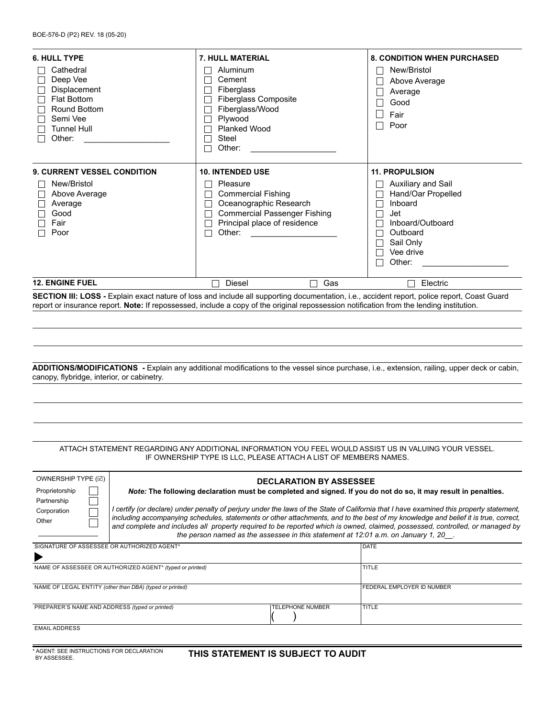| <b>6. HULL TYPE</b>                                                                                                                                                                                                                                                                      | <b>7. HULL MATERIAL</b>                                                                                                                                                                                                                                                  | <b>8. CONDITION WHEN PURCHASED</b>                                                                                                              |  |  |  |  |
|------------------------------------------------------------------------------------------------------------------------------------------------------------------------------------------------------------------------------------------------------------------------------------------|--------------------------------------------------------------------------------------------------------------------------------------------------------------------------------------------------------------------------------------------------------------------------|-------------------------------------------------------------------------------------------------------------------------------------------------|--|--|--|--|
| Cathedral<br>Deep Vee<br>Displacement<br><b>Flat Bottom</b><br>Round Bottom<br>Semi Vee<br><b>Tunnel Hull</b><br>Other:                                                                                                                                                                  | Aluminum<br>Cement<br><b>Fiberglass</b><br><b>Fiberglass Composite</b><br>Fiberglass/Wood<br>Plywood<br><b>Planked Wood</b><br>Steel<br>Other:                                                                                                                           | New/Bristol<br>Above Average<br>Average<br>Good<br>Fair<br>Poor                                                                                 |  |  |  |  |
| <b>9. CURRENT VESSEL CONDITION</b>                                                                                                                                                                                                                                                       | <b>10. INTENDED USE</b>                                                                                                                                                                                                                                                  | <b>11. PROPULSION</b>                                                                                                                           |  |  |  |  |
| New/Bristol<br>Above Average<br>Average<br>Good<br>Fair<br>Poor                                                                                                                                                                                                                          | Pleasure<br><b>Commercial Fishing</b><br>Oceanographic Research<br><b>Commercial Passenger Fishing</b><br>Principal place of residence<br>Other:<br><u> 1980 - Jan Barbara Barat, prima popular popular popular popular popular popular popular popular popular popu</u> | Auxiliary and Sail<br>Hand/Oar Propelled<br>Inboard<br>Jet<br>Inboard/Outboard<br>Outboard<br>Sail Only<br>Vee drive<br>Other:<br>$\mathcal{L}$ |  |  |  |  |
| <b>12. ENGINE FUEL</b>                                                                                                                                                                                                                                                                   | Diesel<br>Gas                                                                                                                                                                                                                                                            | Electric                                                                                                                                        |  |  |  |  |
| SECTION III: LOSS - Explain exact nature of loss and include all supporting documentation, i.e., accident report, police report, Coast Guard<br>report or insurance report. Note: If repossessed, include a copy of the original repossession notification from the lending institution. |                                                                                                                                                                                                                                                                          |                                                                                                                                                 |  |  |  |  |

### **ADDITIONS/MODIFICATIONS -** Explain any additional modifications to the vessel since purchase, i.e., extension, railing, upper deck or cabin, canopy, flybridge, interior, or cabinetry.

#### ATTACH STATEMENT REGARDING ANY ADDITIONAL INFORMATION YOU FEEL WOULD ASSIST US IN VALUING YOUR VESSEL. IF OWNERSHIP TYPE IS LLC, PLEASE ATTACH A LIST OF MEMBERS NAMES.

| OWNERSHIP TYPE (☑) |  |
|--------------------|--|
| Proprietorship     |  |
| Partnership        |  |
| Corporation        |  |
| Other              |  |

**DECLARATION BY ASSESSEE** *Note:* **The following declaration must be completed and signed. If you do not do so, it may result in penalties.** 

*I certify (or declare) under penalty of perjury under the laws of the State of California that I have examined this property statement, including accompanying schedules, statements or other attachments, and to the best of my knowledge and belief it is true, correct, and complete and includes all property required to be reported which is owned, claimed, possessed, controlled, or managed by the person named as the assessee in this statement at 12:01 a.m. on January 1, 20\_\_.*

| SIGNATURE OF ASSESSEE OR AUTHORIZED AGENT*               | DATE                    |                                   |
|----------------------------------------------------------|-------------------------|-----------------------------------|
|                                                          |                         |                                   |
| NAME OF ASSESSEE OR AUTHORIZED AGENT* (typed or printed) |                         | <b>TITLE</b>                      |
|                                                          |                         |                                   |
| NAME OF LEGAL ENTITY (other than DBA) (typed or printed) |                         | <b>FEDERAL EMPLOYER ID NUMBER</b> |
|                                                          |                         |                                   |
| PREPARER'S NAME AND ADDRESS (typed or printed)           | <b>TELEPHONE NUMBER</b> | <b>TITLE</b>                      |
|                                                          |                         |                                   |
| <b>EMAIL ADDRESS</b>                                     |                         |                                   |

\* AGENT: SEE INSTRUCTIONS FOR DECLARATION

## **THIS STATEMENT IS SUBJECT TO AUDIT**